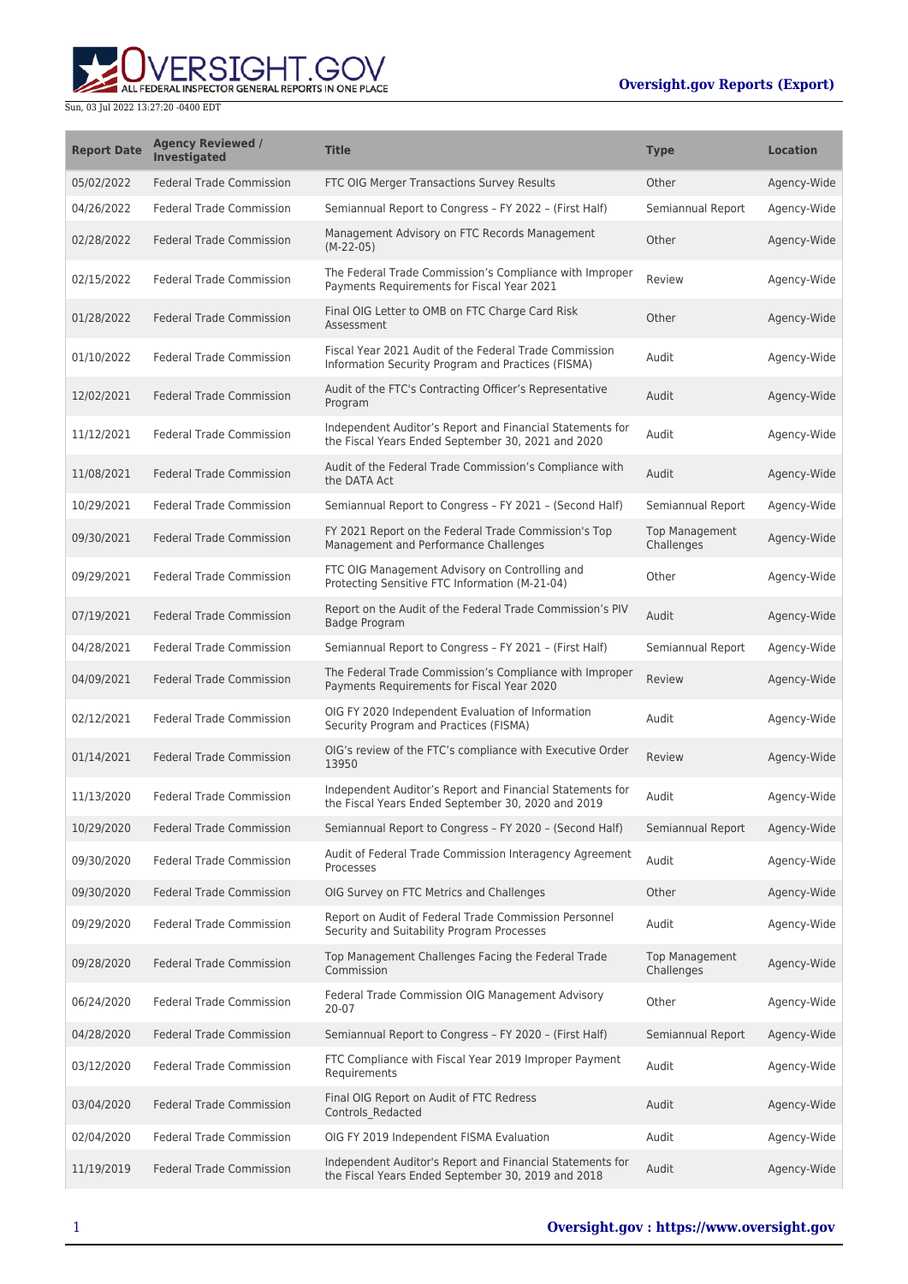## **Oversight.gov Reports (Export)**

## **WERSIGHT.GOV**

Sun, 03 Jul 2022 13:27:20 -0400 EDT

| <b>Report Date</b> | <b>Agency Reviewed /</b><br><b>Investigated</b> | <b>Title</b>                                                                                                    | <b>Type</b>                         | <b>Location</b> |
|--------------------|-------------------------------------------------|-----------------------------------------------------------------------------------------------------------------|-------------------------------------|-----------------|
| 05/02/2022         | <b>Federal Trade Commission</b>                 | FTC OIG Merger Transactions Survey Results                                                                      | Other                               | Agency-Wide     |
| 04/26/2022         | <b>Federal Trade Commission</b>                 | Semiannual Report to Congress - FY 2022 - (First Half)                                                          | Semiannual Report                   | Agency-Wide     |
| 02/28/2022         | <b>Federal Trade Commission</b>                 | Management Advisory on FTC Records Management<br>$(M-22-05)$                                                    | Other                               | Agency-Wide     |
| 02/15/2022         | <b>Federal Trade Commission</b>                 | The Federal Trade Commission's Compliance with Improper<br>Payments Requirements for Fiscal Year 2021           | Review                              | Agency-Wide     |
| 01/28/2022         | <b>Federal Trade Commission</b>                 | Final OIG Letter to OMB on FTC Charge Card Risk<br>Assessment                                                   | Other                               | Agency-Wide     |
| 01/10/2022         | <b>Federal Trade Commission</b>                 | Fiscal Year 2021 Audit of the Federal Trade Commission<br>Information Security Program and Practices (FISMA)    | Audit                               | Agency-Wide     |
| 12/02/2021         | <b>Federal Trade Commission</b>                 | Audit of the FTC's Contracting Officer's Representative<br>Program                                              | Audit                               | Agency-Wide     |
| 11/12/2021         | <b>Federal Trade Commission</b>                 | Independent Auditor's Report and Financial Statements for<br>the Fiscal Years Ended September 30, 2021 and 2020 | Audit                               | Agency-Wide     |
| 11/08/2021         | <b>Federal Trade Commission</b>                 | Audit of the Federal Trade Commission's Compliance with<br>the DATA Act                                         | Audit                               | Agency-Wide     |
| 10/29/2021         | <b>Federal Trade Commission</b>                 | Semiannual Report to Congress - FY 2021 - (Second Half)                                                         | Semiannual Report                   | Agency-Wide     |
| 09/30/2021         | <b>Federal Trade Commission</b>                 | FY 2021 Report on the Federal Trade Commission's Top<br>Management and Performance Challenges                   | <b>Top Management</b><br>Challenges | Agency-Wide     |
| 09/29/2021         | <b>Federal Trade Commission</b>                 | FTC OIG Management Advisory on Controlling and<br>Protecting Sensitive FTC Information (M-21-04)                | Other                               | Agency-Wide     |
| 07/19/2021         | <b>Federal Trade Commission</b>                 | Report on the Audit of the Federal Trade Commission's PIV<br><b>Badge Program</b>                               | Audit                               | Agency-Wide     |
| 04/28/2021         | <b>Federal Trade Commission</b>                 | Semiannual Report to Congress - FY 2021 - (First Half)                                                          | Semiannual Report                   | Agency-Wide     |
| 04/09/2021         | <b>Federal Trade Commission</b>                 | The Federal Trade Commission's Compliance with Improper<br>Payments Requirements for Fiscal Year 2020           | Review                              | Agency-Wide     |
| 02/12/2021         | <b>Federal Trade Commission</b>                 | OIG FY 2020 Independent Evaluation of Information<br>Security Program and Practices (FISMA)                     | Audit                               | Agency-Wide     |
| 01/14/2021         | <b>Federal Trade Commission</b>                 | OIG's review of the FTC's compliance with Executive Order<br>13950                                              | Review                              | Agency-Wide     |
| 11/13/2020         | <b>Federal Trade Commission</b>                 | Independent Auditor's Report and Financial Statements for<br>the Fiscal Years Ended September 30, 2020 and 2019 | Audit                               | Agency-Wide     |
| 10/29/2020         | <b>Federal Trade Commission</b>                 | Semiannual Report to Congress - FY 2020 - (Second Half)                                                         | Semiannual Report                   | Agency-Wide     |
| 09/30/2020         | <b>Federal Trade Commission</b>                 | Audit of Federal Trade Commission Interagency Agreement<br>Processes                                            | Audit                               | Agency-Wide     |
| 09/30/2020         | <b>Federal Trade Commission</b>                 | OIG Survey on FTC Metrics and Challenges                                                                        | Other                               | Agency-Wide     |
| 09/29/2020         | <b>Federal Trade Commission</b>                 | Report on Audit of Federal Trade Commission Personnel<br>Security and Suitability Program Processes             | Audit                               | Agency-Wide     |
| 09/28/2020         | <b>Federal Trade Commission</b>                 | Top Management Challenges Facing the Federal Trade<br>Commission                                                | <b>Top Management</b><br>Challenges | Agency-Wide     |
| 06/24/2020         | <b>Federal Trade Commission</b>                 | Federal Trade Commission OIG Management Advisory<br>20-07                                                       | Other                               | Agency-Wide     |
| 04/28/2020         | <b>Federal Trade Commission</b>                 | Semiannual Report to Congress - FY 2020 - (First Half)                                                          | Semiannual Report                   | Agency-Wide     |
| 03/12/2020         | <b>Federal Trade Commission</b>                 | FTC Compliance with Fiscal Year 2019 Improper Payment<br>Requirements                                           | Audit                               | Agency-Wide     |
| 03/04/2020         | <b>Federal Trade Commission</b>                 | Final OIG Report on Audit of FTC Redress<br>Controls_Redacted                                                   | Audit                               | Agency-Wide     |
| 02/04/2020         | <b>Federal Trade Commission</b>                 | OIG FY 2019 Independent FISMA Evaluation                                                                        | Audit                               | Agency-Wide     |
| 11/19/2019         | <b>Federal Trade Commission</b>                 | Independent Auditor's Report and Financial Statements for<br>the Fiscal Years Ended September 30, 2019 and 2018 | Audit                               | Agency-Wide     |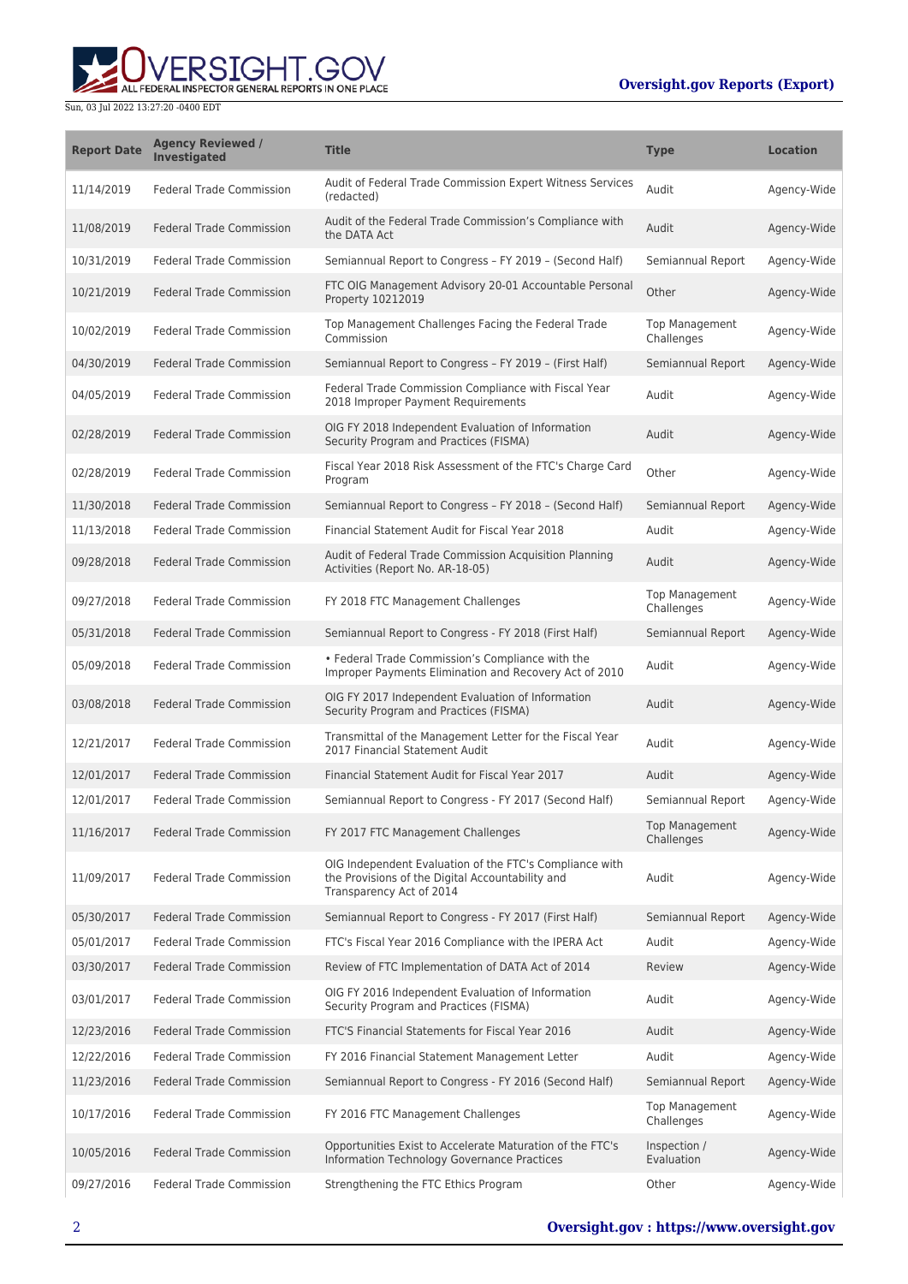## **Oversight.gov Reports (Export)**

ALL FEDERAL INSPECTOR GENERAL REPORTS IN ONE PLACE

Sun, 03 Jul 2022 13:27:20 -0400 EDT

| <b>Report Date</b> | <b>Agency Reviewed /</b><br><b>Investigated</b> | <b>Title</b>                                                                                                                            | <b>Type</b>                         | <b>Location</b> |
|--------------------|-------------------------------------------------|-----------------------------------------------------------------------------------------------------------------------------------------|-------------------------------------|-----------------|
| 11/14/2019         | <b>Federal Trade Commission</b>                 | Audit of Federal Trade Commission Expert Witness Services<br>(redacted)                                                                 | Audit                               | Agency-Wide     |
| 11/08/2019         | <b>Federal Trade Commission</b>                 | Audit of the Federal Trade Commission's Compliance with<br>the DATA Act                                                                 | Audit                               | Agency-Wide     |
| 10/31/2019         | <b>Federal Trade Commission</b>                 | Semiannual Report to Congress - FY 2019 - (Second Half)                                                                                 | Semiannual Report                   | Agency-Wide     |
| 10/21/2019         | <b>Federal Trade Commission</b>                 | FTC OIG Management Advisory 20-01 Accountable Personal<br>Property 10212019                                                             | Other                               | Agency-Wide     |
| 10/02/2019         | <b>Federal Trade Commission</b>                 | Top Management Challenges Facing the Federal Trade<br>Commission                                                                        | <b>Top Management</b><br>Challenges | Agency-Wide     |
| 04/30/2019         | <b>Federal Trade Commission</b>                 | Semiannual Report to Congress - FY 2019 - (First Half)                                                                                  | Semiannual Report                   | Agency-Wide     |
| 04/05/2019         | <b>Federal Trade Commission</b>                 | Federal Trade Commission Compliance with Fiscal Year<br>2018 Improper Payment Requirements                                              | Audit                               | Agency-Wide     |
| 02/28/2019         | <b>Federal Trade Commission</b>                 | OIG FY 2018 Independent Evaluation of Information<br>Security Program and Practices (FISMA)                                             | Audit                               | Agency-Wide     |
| 02/28/2019         | <b>Federal Trade Commission</b>                 | Fiscal Year 2018 Risk Assessment of the FTC's Charge Card<br>Program                                                                    | Other                               | Agency-Wide     |
| 11/30/2018         | <b>Federal Trade Commission</b>                 | Semiannual Report to Congress - FY 2018 - (Second Half)                                                                                 | Semiannual Report                   | Agency-Wide     |
| 11/13/2018         | <b>Federal Trade Commission</b>                 | Financial Statement Audit for Fiscal Year 2018                                                                                          | Audit                               | Agency-Wide     |
| 09/28/2018         | <b>Federal Trade Commission</b>                 | Audit of Federal Trade Commission Acquisition Planning<br>Activities (Report No. AR-18-05)                                              | Audit                               | Agency-Wide     |
| 09/27/2018         | <b>Federal Trade Commission</b>                 | FY 2018 FTC Management Challenges                                                                                                       | <b>Top Management</b><br>Challenges | Agency-Wide     |
| 05/31/2018         | <b>Federal Trade Commission</b>                 | Semiannual Report to Congress - FY 2018 (First Half)                                                                                    | Semiannual Report                   | Agency-Wide     |
| 05/09/2018         | <b>Federal Trade Commission</b>                 | • Federal Trade Commission's Compliance with the<br>Improper Payments Elimination and Recovery Act of 2010                              | Audit                               | Agency-Wide     |
| 03/08/2018         | <b>Federal Trade Commission</b>                 | OIG FY 2017 Independent Evaluation of Information<br>Security Program and Practices (FISMA)                                             | Audit                               | Agency-Wide     |
| 12/21/2017         | <b>Federal Trade Commission</b>                 | Transmittal of the Management Letter for the Fiscal Year<br>2017 Financial Statement Audit                                              | Audit                               | Agency-Wide     |
| 12/01/2017         | <b>Federal Trade Commission</b>                 | Financial Statement Audit for Fiscal Year 2017                                                                                          | Audit                               | Agency-Wide     |
| 12/01/2017         | <b>Federal Trade Commission</b>                 | Semiannual Report to Congress - FY 2017 (Second Half)                                                                                   | Semiannual Report                   | Agency-Wide     |
| 11/16/2017         | <b>Federal Trade Commission</b>                 | FY 2017 FTC Management Challenges                                                                                                       | Top Management<br>Challenges        | Agency-Wide     |
| 11/09/2017         | <b>Federal Trade Commission</b>                 | OIG Independent Evaluation of the FTC's Compliance with<br>the Provisions of the Digital Accountability and<br>Transparency Act of 2014 | Audit                               | Agency-Wide     |
| 05/30/2017         | <b>Federal Trade Commission</b>                 | Semiannual Report to Congress - FY 2017 (First Half)                                                                                    | Semiannual Report                   | Agency-Wide     |
| 05/01/2017         | Federal Trade Commission                        | FTC's Fiscal Year 2016 Compliance with the IPERA Act                                                                                    | Audit                               | Agency-Wide     |
| 03/30/2017         | <b>Federal Trade Commission</b>                 | Review of FTC Implementation of DATA Act of 2014                                                                                        | Review                              | Agency-Wide     |
| 03/01/2017         | <b>Federal Trade Commission</b>                 | OIG FY 2016 Independent Evaluation of Information<br>Security Program and Practices (FISMA)                                             | Audit                               | Agency-Wide     |
| 12/23/2016         | <b>Federal Trade Commission</b>                 | FTC'S Financial Statements for Fiscal Year 2016                                                                                         | Audit                               | Agency-Wide     |
| 12/22/2016         | Federal Trade Commission                        | FY 2016 Financial Statement Management Letter                                                                                           | Audit                               | Agency-Wide     |
| 11/23/2016         | <b>Federal Trade Commission</b>                 | Semiannual Report to Congress - FY 2016 (Second Half)                                                                                   | Semiannual Report                   | Agency-Wide     |
| 10/17/2016         | <b>Federal Trade Commission</b>                 | FY 2016 FTC Management Challenges                                                                                                       | <b>Top Management</b><br>Challenges | Agency-Wide     |
| 10/05/2016         | <b>Federal Trade Commission</b>                 | Opportunities Exist to Accelerate Maturation of the FTC's<br>Information Technology Governance Practices                                | Inspection /<br>Evaluation          | Agency-Wide     |
| 09/27/2016         | <b>Federal Trade Commission</b>                 | Strengthening the FTC Ethics Program                                                                                                    | Other                               | Agency-Wide     |